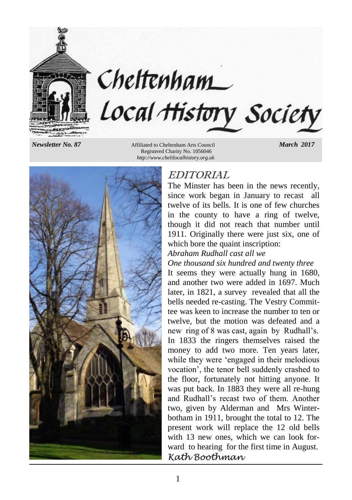

## *Newsletter No. 87* Affiliated to Cheltenham Arts Council *March 2017* Registered Charity No. 1056046 *http://www.cheltlocalhistory.org.uk*

Cheltenham



# EDITORIAL

Local History Society

The Minster has been in the news recently, since work began in January to recast all twelve of its bells. It is one of few churches in the county to have a ring of twelve, though it did not reach that number until 1911. Originally there were just six, one of which bore the quaint inscription:

## *Abraham Rudhall cast all we*

## *One thousand six hundred and twenty three*

It seems they were actually hung in 1680, and another two were added in 1697. Much later, in 1821, a survey revealed that all the bells needed re-casting. The Vestry Committee was keen to increase the number to ten or twelve, but the motion was defeated and a new ring of 8 was cast, again by Rudhall's. In 1833 the ringers themselves raised the money to add two more. Ten years later, while they were 'engaged in their melodious vocation', the tenor bell suddenly crashed to the floor, fortunately not hitting anyone. It was put back. In 1883 they were all re-hung and Rudhall's recast two of them. Another two, given by Alderman and Mrs Winterbotham in 1911, brought the total to 12. The present work will replace the 12 old bells with 13 new ones, which we can look forward to hearing for the first time in August. *Kath Boothman*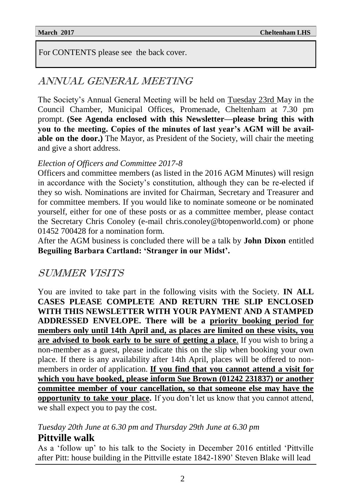For CONTENTS please see the back cover.

# ANNUAL GENERAL MEETING

The Society's Annual General Meeting will be held on Tuesday 23rd May in the Council Chamber, Municipal Offices, Promenade, Cheltenham at 7.30 pm prompt. **(See Agenda enclosed with this Newsletter—please bring this with you to the meeting. Copies of the minutes of last year's AGM will be available on the door.)** The Mayor, as President of the Society, will chair the meeting and give a short address.

## *Election of Officers and Committee 2017-8*

Officers and committee members (as listed in the 2016 AGM Minutes) will resign in accordance with the Society's constitution, although they can be re-elected if they so wish. Nominations are invited for Chairman, Secretary and Treasurer and for committee members. If you would like to nominate someone or be nominated yourself, either for one of these posts or as a committee member, please contact the Secretary Chris Conoley (e-mail chris.conoley@btopenworld.com) or phone 01452 700428 for a nomination form.

After the AGM business is concluded there will be a talk by **John Dixon** entitled **Beguiling Barbara Cartland: 'Stranger in our Midst'.**

# SUMMER VISITS

You are invited to take part in the following visits with the Society. **IN ALL CASES PLEASE COMPLETE AND RETURN THE SLIP ENCLOSED WITH THIS NEWSLETTER WITH YOUR PAYMENT AND A STAMPED ADDRESSED ENVELOPE. There will be a priority booking period for members only until 14th April and, as places are limited on these visits, you are advised to book early to be sure of getting a place**. If you wish to bring a non-member as a guest, please indicate this on the slip when booking your own place. If there is any availability after 14th April, places will be offered to nonmembers in order of application. **If you find that you cannot attend a visit for which you have booked, please inform Sue Brown (01242 231837) or another committee member of your cancellation, so that someone else may have the opportunity to take your place.** If you don't let us know that you cannot attend, we shall expect you to pay the cost.

## *Tuesday 20th June at 6.30 pm and Thursday 29th June at 6.30 pm*

## **Pittville walk**

As a 'follow up' to his talk to the Society in December 2016 entitled 'Pittville after Pitt: house building in the Pittville estate 1842-1890' Steven Blake will lead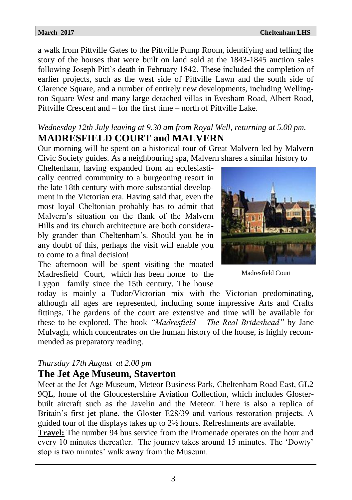**March 2017** Cheltenham LHS

a walk from Pittville Gates to the Pittville Pump Room, identifying and telling the story of the houses that were built on land sold at the 1843-1845 auction sales following Joseph Pitt's death in February 1842. These included the completion of earlier projects, such as the west side of Pittville Lawn and the south side of Clarence Square, and a number of entirely new developments, including Wellington Square West and many large detached villas in Evesham Road, Albert Road, Pittville Crescent and – for the first time – north of Pittville Lake.

## *Wednesday 12th July leaving at 9.30 am from Royal Well, returning at 5.00 pm.* **MADRESFIELD COURT and MALVERN**

Our morning will be spent on a historical tour of Great Malvern led by Malvern Civic Society guides. As a neighbouring spa, Malvern shares a similar history to

Cheltenham, having expanded from an ecclesiastically centred community to a burgeoning resort in the late 18th century with more substantial development in the Victorian era. Having said that, even the most loyal Cheltonian probably has to admit that Malvern's situation on the flank of the Malvern Hills and its church architecture are both considerably grander than Cheltenham's. Should you be in any doubt of this, perhaps the visit will enable you to come to a final decision!

The afternoon will be spent visiting the moated Madresfield Court, which has been home to the Lygon family since the 15th century. The house

today is mainly a Tudor/Victorian mix with the Victorian predominating, although all ages are represented, including some impressive Arts and Crafts fittings. The gardens of the court are extensive and time will be available for these to be explored. The book *"Madresfield – The Real Brideshead"* by Jane Mulvagh, which concentrates on the human history of the house, is highly recommended as preparatory reading.

## *Thursday 17th August at 2.00 pm*

## **The Jet Age Museum, Staverton**

Meet at the Jet Age Museum, Meteor Business Park, Cheltenham Road East, GL2 9QL, home of the Gloucestershire Aviation Collection, which includes Glosterbuilt aircraft such as the Javelin and the Meteor. There is also a replica of Britain's first jet plane, the Gloster E28/39 and various restoration projects. A guided tour of the displays takes up to 2½ hours. Refreshments are available.

**Travel:** The number 94 bus service from the Promenade operates on the hour and every 10 minutes thereafter. The journey takes around 15 minutes. The 'Dowty' stop is two minutes' walk away from the Museum.



Madresfield Court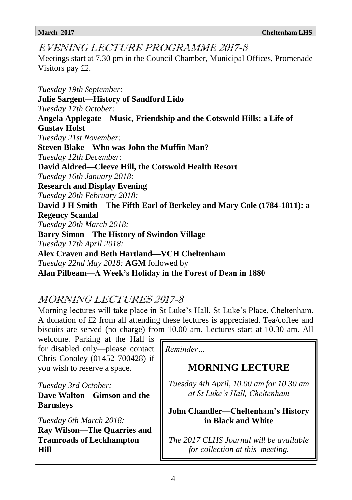## EVENING LECTURE PROGRAMME 2017-8

Meetings start at 7.30 pm in the Council Chamber, Municipal Offices, Promenade Visitors pay £2.

*Tuesday 19th September:* **Julie Sargent—History of Sandford Lido** *Tuesday 17th October:* **Angela Applegate—Music, Friendship and the Cotswold Hills: a Life of Gustav Holst** *Tuesday 21st November:* **Steven Blake—Who was John the Muffin Man?** *Tuesday 12th December:* **David Aldred—Cleeve Hill, the Cotswold Health Resort** *Tuesday 16th January 2018:* **Research and Display Evening** *Tuesday 20th February 2018:* **David J H Smith—The Fifth Earl of Berkeley and Mary Cole (1784-1811): a Regency Scandal** *Tuesday 20th March 2018:* **Barry Simon—The History of Swindon Village** *Tuesday 17th April 2018:* **Alex Craven and Beth Hartland—VCH Cheltenham** *Tuesday 22nd May 2018:* **AGM** followed by **Alan Pilbeam—A Week's Holiday in the Forest of Dean in 1880**

## MORNING LECTURES 2017-8

Morning lectures will take place in St Luke's Hall, St Luke's Place, Cheltenham. A donation of £2 from all attending these lectures is appreciated. Tea/coffee and biscuits are served (no charge) from 10.00 am. Lectures start at 10.30 am. All

welcome. Parking at the Hall is for disabled only—please contact Chris Conoley (01452 700428) if you wish to reserve a space.

*Tuesday 3rd October:* **Dave Walton—Gimson and the Barnsleys**

*Tuesday 6th March 2018:* **Ray Wilson—The Quarries and Tramroads of Leckhampton Hill**

*Reminder…*

# **MORNING LECTURE**

*Tuesday 4th April, 10.00 am for 10.30 am at St Luke's Hall, Cheltenham*

## **John Chandler—Cheltenham's History in Black and White**

*The 2017 CLHS Journal will be available for collection at this meeting.*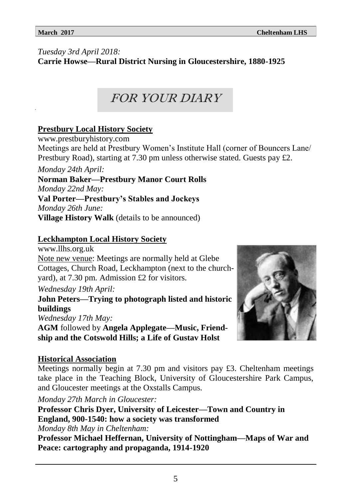# *Tuesday 3rd April 2018:*

**Carrie Howse—Rural District Nursing in Gloucestershire, 1880-1925**

FOR YOUR DIARY

## **Prestbury Local History Society**

www.prestburyhistory.com

Meetings are held at Prestbury Women's Institute Hall (corner of Bouncers Lane/ Prestbury Road), starting at 7.30 pm unless otherwise stated. Guests pay £2.

*Monday 24th April:*

**Norman Baker—Prestbury Manor Court Rolls** *Monday 22nd May:* **Val Porter—Prestbury's Stables and Jockeys**

*Monday 26th June:* **Village History Walk** (details to be announced)

## **Leckhampton Local History Society**

www.llhs.org.uk Note new venue: Meetings are normally held at Glebe Cottages, Church Road, Leckhampton (next to the churchyard), at 7.30 pm. Admission £2 for visitors.

*Wednesday 19th April:*

**John Peters—Trying to photograph listed and historic buildings**

*Wednesday 17th May:* **AGM** followed by **Angela Applegate—Music, Friendship and the Cotswold Hills; a Life of Gustav Holst**

## **Historical Association**

Meetings normally begin at 7.30 pm and visitors pay  $\pounds$ 3. Cheltenham meetings take place in the Teaching Block, University of Gloucestershire Park Campus, and Gloucester meetings at the Oxstalls Campus.

*Monday 27th March in Gloucester:*

**Professor Chris Dyer, University of Leicester—Town and Country in England, 900-1540: how a society was transformed**

*Monday 8th May in Cheltenham:*

**Professor Michael Heffernan, University of Nottingham—Maps of War and Peace: cartography and propaganda, 1914-1920**

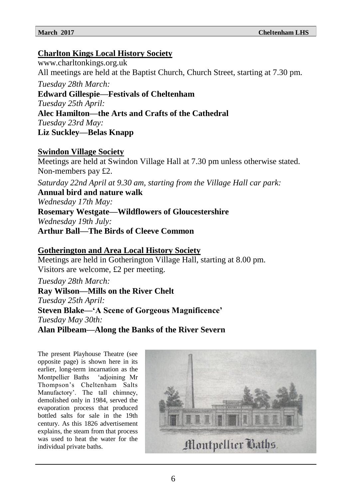## **Charlton Kings Local History Society**

www.charltonkings.org.uk All meetings are held at the Baptist Church, Church Street, starting at 7.30 pm.

*Tuesday 28th March:* **Edward Gillespie—Festivals of Cheltenham**

*Tuesday 25th April:*

## **Alec Hamilton—the Arts and Crafts of the Cathedral**

*Tuesday 23rd May:*

**Liz Suckley—Belas Knapp**

## **Swindon Village Society**

Meetings are held at Swindon Village Hall at 7.30 pm unless otherwise stated. Non-members pay £2.

*Saturday 22nd April at 9.30 am, starting from the Village Hall car park:*

**Annual bird and nature walk**

*Wednesday 17th May:*

# **Rosemary Westgate—Wildflowers of Gloucestershire**

*Wednesday 19th July:*

**Arthur Ball—The Birds of Cleeve Common**

## **Gotherington and Area Local History Society**

Meetings are held in Gotherington Village Hall, starting at 8.00 pm. Visitors are welcome, £2 per meeting.

## *Tuesday 28th March:*

**Ray Wilson—Mills on the River Chelt** *Tuesday 25th April:* **Steven Blake—'A Scene of Gorgeous Magnificence'** *Tuesday May 30th:*

**Alan Pilbeam—Along the Banks of the River Severn**

The present Playhouse Theatre (see opposite page) is shown here in its earlier, long-term incarnation as the Montpellier Baths 'adjoining Mr Thompson's Cheltenham Salts Manufactory'. The tall chimney, demolished only in 1984, served the evaporation process that produced bottled salts for sale in the 19th century. As this 1826 advertisement explains, the steam from that process was used to heat the water for the individual private baths.

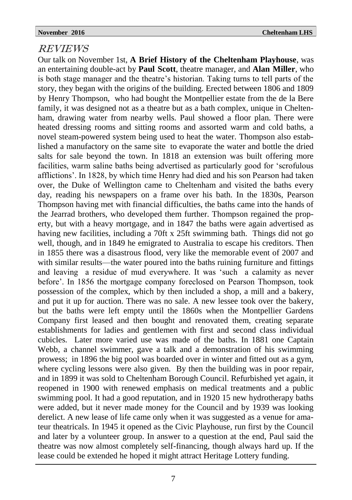## REVIEWS

Our talk on November 1st, **A Brief History of the Cheltenham Playhouse**, was an entertaining double-act by **Paul Scott**, theatre manager, and **Alan Miller**, who is both stage manager and the theatre's historian. Taking turns to tell parts of the story, they began with the origins of the building. Erected between 1806 and 1809 by Henry Thompson, who had bought the Montpellier estate from the de la Bere family, it was designed not as a theatre but as a bath complex, unique in Cheltenham, drawing water from nearby wells. Paul showed a floor plan. There were heated dressing rooms and sitting rooms and assorted warm and cold baths, a novel steam-powered system being used to heat the water. Thompson also established a manufactory on the same site to evaporate the water and bottle the dried salts for sale beyond the town. In 1818 an extension was built offering more facilities, warm saline baths being advertised as particularly good for 'scrofulous afflictions'. In 1828, by which time Henry had died and his son Pearson had taken over, the Duke of Wellington came to Cheltenham and visited the baths every day, reading his newspapers on a frame over his bath. In the 1830s, Pearson Thompson having met with financial difficulties, the baths came into the hands of the Jearrad brothers, who developed them further. Thompson regained the property, but with a heavy mortgage, and in 1847 the baths were again advertised as having new facilities, including a 70ft x 25ft swimming bath. Things did not go well, though, and in 1849 he emigrated to Australia to escape his creditors. Then in 1855 there was a disastrous flood, very like the memorable event of 2007 and with similar results—the water poured into the baths ruining furniture and fittings and leaving a residue of mud everywhere. It was 'such a calamity as never before'. In 1856 the mortgage company foreclosed on Pearson Thompson, took possession of the complex, which by then included a shop, a mill and a bakery, and put it up for auction. There was no sale. A new lessee took over the bakery, but the baths were left empty until the 1860s when the Montpellier Gardens Company first leased and then bought and renovated them, creating separate establishments for ladies and gentlemen with first and second class individual cubicles. Later more varied use was made of the baths. In 1881 one Captain Webb, a channel swimmer, gave a talk and a demonstration of his swimming prowess; in 1896 the big pool was boarded over in winter and fitted out as a gym, where cycling lessons were also given. By then the building was in poor repair, and in 1899 it was sold to Cheltenham Borough Council. Refurbished yet again, it reopened in 1900 with renewed emphasis on medical treatments and a public swimming pool. It had a good reputation, and in 1920 15 new hydrotherapy baths were added, but it never made money for the Council and by 1939 was looking derelict. A new lease of life came only when it was suggested as a venue for amateur theatricals. In 1945 it opened as the Civic Playhouse, run first by the Council and later by a volunteer group. In answer to a question at the end, Paul said the theatre was now almost completely self-financing, though always hard up. If the lease could be extended he hoped it might attract Heritage Lottery funding.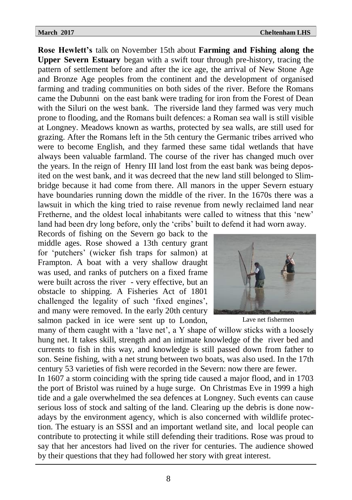**Rose Hewlett's** talk on November 15th about **Farming and Fishing along the Upper Severn Estuary** began with a swift tour through pre-history, tracing the pattern of settlement before and after the ice age, the arrival of New Stone Age and Bronze Age peoples from the continent and the development of organised farming and trading communities on both sides of the river. Before the Romans came the Dubunni on the east bank were trading for iron from the Forest of Dean with the Siluri on the west bank. The riverside land they farmed was very much prone to flooding, and the Romans built defences: a Roman sea wall is still visible at Longney. Meadows known as warths, protected by sea walls, are still used for grazing. After the Romans left in the 5th century the Germanic tribes arrived who were to become English, and they farmed these same tidal wetlands that have always been valuable farmland. The course of the river has changed much over the years. In the reign of Henry III land lost from the east bank was being deposited on the west bank, and it was decreed that the new land still belonged to Slimbridge because it had come from there. All manors in the upper Severn estuary have boundaries running down the middle of the river. In the 1670s there was a lawsuit in which the king tried to raise revenue from newly reclaimed land near Fretherne, and the oldest local inhabitants were called to witness that this 'new' land had been dry long before, only the 'cribs' built to defend it had worn away.

Records of fishing on the Severn go back to the middle ages. Rose showed a 13th century grant for 'putchers' (wicker fish traps for salmon) at Frampton. A boat with a very shallow draught was used, and ranks of putchers on a fixed frame were built across the river - very effective, but an obstacle to shipping. A Fisheries Act of 1801 challenged the legality of such 'fixed engines', and many were removed. In the early 20th century salmon packed in ice were sent up to London,



Lave net fishermen

many of them caught with a 'lave net', a Y shape of willow sticks with a loosely hung net. It takes skill, strength and an intimate knowledge of the river bed and currents to fish in this way, and knowledge is still passed down from father to son. Seine fishing, with a net strung between two boats, was also used. In the 17th century 53 varieties of fish were recorded in the Severn: now there are fewer.

In 1607 a storm coinciding with the spring tide caused a major flood, and in 1703 the port of Bristol was ruined by a huge surge. On Christmas Eve in 1999 a high tide and a gale overwhelmed the sea defences at Longney. Such events can cause serious loss of stock and salting of the land. Clearing up the debris is done nowadays by the environment agency, which is also concerned with wildlife protection. The estuary is an SSSI and an important wetland site, and local people can contribute to protecting it while still defending their traditions. Rose was proud to say that her ancestors had lived on the river for centuries. The audience showed by their questions that they had followed her story with great interest.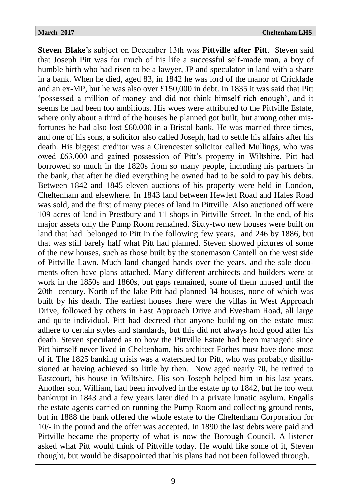**Steven Blake**'s subject on December 13th was **Pittville after Pitt**. Steven said that Joseph Pitt was for much of his life a successful self-made man, a boy of humble birth who had risen to be a lawyer, JP and speculator in land with a share in a bank. When he died, aged 83, in 1842 he was lord of the manor of Cricklade and an ex-MP, but he was also over £150,000 in debt. In 1835 it was said that Pitt 'possessed a million of money and did not think himself rich enough', and it seems he had been too ambitious. His woes were attributed to the Pittville Estate, where only about a third of the houses he planned got built, but among other misfortunes he had also lost £60,000 in a Bristol bank. He was married three times, and one of his sons, a solicitor also called Joseph, had to settle his affairs after his death. His biggest creditor was a Cirencester solicitor called Mullings, who was owed £63,000 and gained possession of Pitt's property in Wiltshire. Pitt had borrowed so much in the 1820s from so many people, including his partners in the bank, that after he died everything he owned had to be sold to pay his debts. Between 1842 and 1845 eleven auctions of his property were held in London, Cheltenham and elsewhere. In 1843 land between Hewlett Road and Hales Road was sold, and the first of many pieces of land in Pittville. Also auctioned off were 109 acres of land in Prestbury and 11 shops in Pittville Street. In the end, of his major assets only the Pump Room remained. Sixty-two new houses were built on land that had belonged to Pitt in the following few years, and 246 by 1886, but that was still barely half what Pitt had planned. Steven showed pictures of some of the new houses, such as those built by the stonemason Cantell on the west side of Pittville Lawn. Much land changed hands over the years, and the sale documents often have plans attached. Many different architects and builders were at work in the 1850s and 1860s, but gaps remained, some of them unused until the 20th century. North of the lake Pitt had planned 34 houses, none of which was built by his death. The earliest houses there were the villas in West Approach Drive, followed by others in East Approach Drive and Evesham Road, all large and quite individual. Pitt had decreed that anyone building on the estate must adhere to certain styles and standards, but this did not always hold good after his death. Steven speculated as to how the Pittville Estate had been managed: since Pitt himself never lived in Cheltenham, his architect Forbes must have done most of it. The 1825 banking crisis was a watershed for Pitt, who was probably disillusioned at having achieved so little by then. Now aged nearly 70, he retired to Eastcourt, his house in Wiltshire. His son Joseph helped him in his last years. Another son, William, had been involved in the estate up to 1842, but he too went bankrupt in 1843 and a few years later died in a private lunatic asylum. Engalls the estate agents carried on running the Pump Room and collecting ground rents, but in 1888 the bank offered the whole estate to the Cheltenham Corporation for 10/- in the pound and the offer was accepted. In 1890 the last debts were paid and Pittville became the property of what is now the Borough Council. A listener asked what Pitt would think of Pittville today. He would like some of it, Steven thought, but would be disappointed that his plans had not been followed through.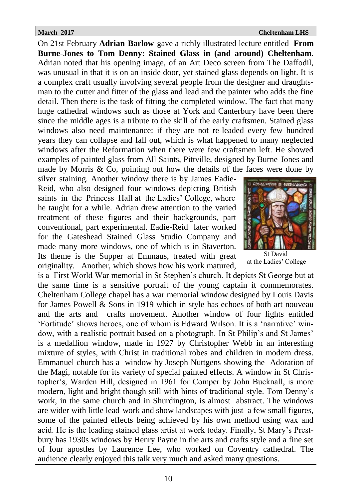## **March 2017** Cheltenham LHS

On 21st February **Adrian Barlow** gave a richly illustrated lecture entitled **From Burne-Jones to Tom Denny: Stained Glass in (and around) Cheltenham.**  Adrian noted that his opening image, of an Art Deco screen from The Daffodil, was unusual in that it is on an inside door, yet stained glass depends on light. It is a complex craft usually involving several people from the designer and draughtsman to the cutter and fitter of the glass and lead and the painter who adds the fine detail. Then there is the task of fitting the completed window. The fact that many huge cathedral windows such as those at York and Canterbury have been there since the middle ages is a tribute to the skill of the early craftsmen. Stained glass windows also need maintenance: if they are not re-leaded every few hundred years they can collapse and fall out, which is what happened to many neglected windows after the Reformation when there were few craftsmen left. He showed examples of painted glass from All Saints, Pittville, designed by Burne-Jones and made by Morris  $\& Co$ , pointing out how the details of the faces were done by

silver staining. Another window there is by James Eadie-Reid, who also designed four windows depicting British saints in the Princess Hall at the Ladies' College, where he taught for a while. Adrian drew attention to the varied treatment of these figures and their backgrounds, part conventional, part experimental. Eadie-Reid later worked for the Gateshead Stained Glass Studio Company and made many more windows, one of which is in Staverton. Its theme is the Supper at Emmaus, treated with great originality. Another, which shows how his work matured,



St David at the Ladies' College

is a First World War memorial in St Stephen's church. It depicts St George but at the same time is a sensitive portrait of the young captain it commemorates. Cheltenham College chapel has a war memorial window designed by Louis Davis for James Powell & Sons in 1919 which in style has echoes of both art nouveau and the arts and crafts movement. Another window of four lights entitled 'Fortitude' shows heroes, one of whom is Edward Wilson. It is a 'narrative' window, with a realistic portrait based on a photograph. In St Philip's and St James' is a medallion window, made in 1927 by Christopher Webb in an interesting mixture of styles, with Christ in traditional robes and children in modern dress. Emmanuel church has a window by Joseph Nuttgens showing the Adoration of the Magi, notable for its variety of special painted effects. A window in St Christopher's, Warden Hill, designed in 1961 for Comper by John Bucknall, is more modern, light and bright though still with hints of traditional style. Tom Denny's work, in the same church and in Shurdington, is almost abstract. The windows are wider with little lead-work and show landscapes with just a few small figures, some of the painted effects being achieved by his own method using wax and acid. He is the leading stained glass artist at work today. Finally, St Mary's Prestbury has 1930s windows by Henry Payne in the arts and crafts style and a fine set of four apostles by Laurence Lee, who worked on Coventry cathedral. The audience clearly enjoyed this talk very much and asked many questions.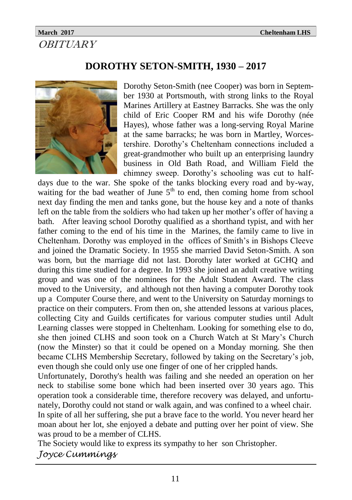## **March 2017 Cheltenham LHS OBITUARY**

# **DOROTHY SETON-SMITH, 1930 – 2017**



Dorothy Seton-Smith (nee Cooper) was born in September 1930 at Portsmouth, with strong links to the Royal Marines Artillery at Eastney Barracks. She was the only child of Eric Cooper RM and his wife Dorothy (née Hayes), whose father was a long-serving Royal Marine at the same barracks; he was born in Martley, Worcestershire. Dorothy's Cheltenham connections included a great-grandmother who built up an enterprising laundry business in Old Bath Road, and William Field the chimney sweep. Dorothy's schooling was cut to half-

days due to the war. She spoke of the tanks blocking every road and by-way, waiting for the bad weather of June  $5<sup>th</sup>$  to end, then coming home from school next day finding the men and tanks gone, but the house key and a note of thanks left on the table from the soldiers who had taken up her mother's offer of having a bath. After leaving school Dorothy qualified as a shorthand typist, and with her father coming to the end of his time in the Marines, the family came to live in Cheltenham. Dorothy was employed in the offices of Smith's in Bishops Cleeve and joined the Dramatic Society. In 1955 she married David Seton-Smith. A son was born, but the marriage did not last. Dorothy later worked at GCHQ and during this time studied for a degree. In 1993 she joined an adult creative writing group and was one of the nominees for the Adult Student Award. The class moved to the University, and although not then having a computer Dorothy took up a Computer Course there, and went to the University on Saturday mornings to practice on their computers. From then on, she attended lessons at various places, collecting City and Guilds certificates for various computer studies until Adult Learning classes were stopped in Cheltenham. Looking for something else to do, she then joined CLHS and soon took on a Church Watch at St Mary's Church (now the Minster) so that it could be opened on a Monday morning. She then became CLHS Membership Secretary, followed by taking on the Secretary's job, even though she could only use one finger of one of her crippled hands.

Unfortunately, Dorothy's health was failing and she needed an operation on her neck to stabilise some bone which had been inserted over 30 years ago. This operation took a considerable time, therefore recovery was delayed, and unfortunately, Dorothy could not stand or walk again, and was confined to a wheel chair. In spite of all her suffering, she put a brave face to the world. You never heard her

moan about her lot, she enjoyed a debate and putting over her point of view. She was proud to be a member of CLHS.

The Society would like to express its sympathy to her son Christopher.

*Joyce Cummings*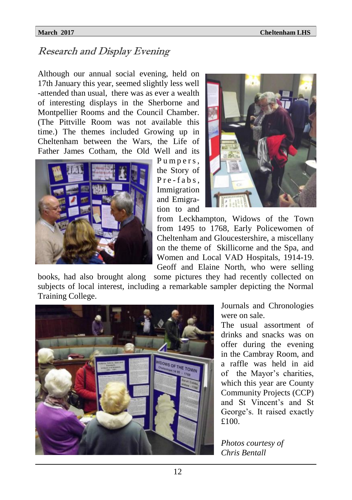# Research and Display Evening

Although our annual social evening, held on 17th January this year, seemed slightly less well -attended than usual, there was as ever a wealth of interesting displays in the Sherborne and Montpellier Rooms and the Council Chamber. (The Pittville Room was not available this time.) The themes included Growing up in Cheltenham between the Wars, the Life of Father James Cotham, the Old Well and its



Pumpers, the Story of Pre-fabs. Immigration and Emigration to and



from Leckhampton, Widows of the Town from 1495 to 1768, Early Policewomen of Cheltenham and Gloucestershire, a miscellany on the theme of Skillicorne and the Spa, and Women and Local VAD Hospitals, 1914-19. Geoff and Elaine North, who were selling

books, had also brought along some pictures they had recently collected on subjects of local interest, including a remarkable sampler depicting the Normal Training College.



Journals and Chronologies were on sale.

The usual assortment of drinks and snacks was on offer during the evening in the Cambray Room, and a raffle was held in aid of the Mayor's charities, which this year are County Community Projects (CCP) and St Vincent's and St George's. It raised exactly £100.

*Photos courtesy of Chris Bentall*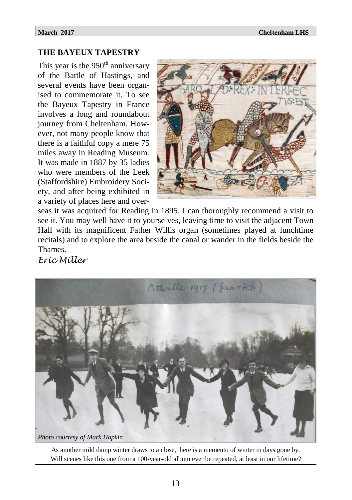## **THE BAYEUX TAPESTRY**

This year is the  $950<sup>th</sup>$  anniversary of the Battle of Hastings, and several events have been organised to commemorate it. To see the Bayeux Tapestry in France involves a long and roundabout journey from Cheltenham. However, not many people know that there is a faithful copy a mere 75 miles away in Reading Museum. It was made in 1887 by 35 ladies who were members of the Leek (Staffordshire) Embroidery Society, and after being exhibited in a variety of places here and over-



seas it was acquired for Reading in 1895. I can thoroughly recommend a visit to see it. You may well have it to yourselves, leaving time to visit the adjacent Town Hall with its magnificent Father Willis organ (sometimes played at lunchtime recitals) and to explore the area beside the canal or wander in the fields beside the Thames.

*Eric Miller*



As another mild damp winter draws to a close, here is a memento of winter in days gone by. Will scenes like this one from a 100-year-old album ever be repeated, at least in our lifetime?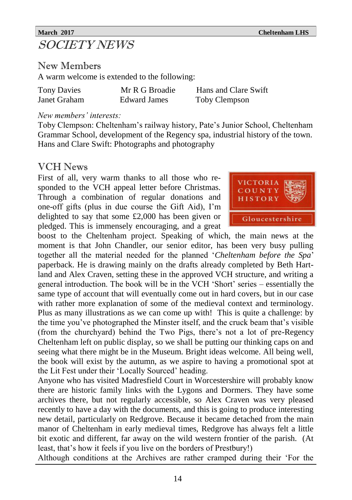# SOCIETY NEWS

New Members

A warm welcome is extended to the following:

| <b>Tony Davies</b> | Mr R G Broadie      | Hans and Clare Swift |
|--------------------|---------------------|----------------------|
| Janet Graham       | <b>Edward James</b> | Toby Clempson        |

## *New members' interests:*

Toby Clempson: Cheltenham's railway history, Pate's Junior School, Cheltenham Grammar School, development of the Regency spa, industrial history of the town. Hans and Clare Swift: Photographs and photography

## VCH News

First of all, very warm thanks to all those who responded to the VCH appeal letter before Christmas. Through a combination of regular donations and one-off gifts (plus in due course the Gift Aid), I'm delighted to say that some £2,000 has been given or pledged. This is immensely encouraging, and a great



boost to the Cheltenham project. Speaking of which, the main news at the moment is that John Chandler, our senior editor, has been very busy pulling together all the material needed for the planned '*Cheltenham before the Spa*' paperback. He is drawing mainly on the drafts already completed by Beth Hartland and Alex Craven, setting these in the approved VCH structure, and writing a general introduction. The book will be in the VCH 'Short' series – essentially the same type of account that will eventually come out in hard covers, but in our case with rather more explanation of some of the medieval context and terminology. Plus as many illustrations as we can come up with! This is quite a challenge: by the time you've photographed the Minster itself, and the cruck beam that's visible (from the churchyard) behind the Two Pigs, there's not a lot of pre-Regency Cheltenham left on public display, so we shall be putting our thinking caps on and seeing what there might be in the Museum. Bright ideas welcome. All being well, the book will exist by the autumn, as we aspire to having a promotional spot at the Lit Fest under their 'Locally Sourced' heading.

Anyone who has visited Madresfield Court in Worcestershire will probably know there are historic family links with the Lygons and Dormers. They have some archives there, but not regularly accessible, so Alex Craven was very pleased recently to have a day with the documents, and this is going to produce interesting new detail, particularly on Redgrove. Because it became detached from the main manor of Cheltenham in early medieval times, Redgrove has always felt a little bit exotic and different, far away on the wild western frontier of the parish. (At least, that's how it feels if you live on the borders of Prestbury!)

Although conditions at the Archives are rather cramped during their 'For the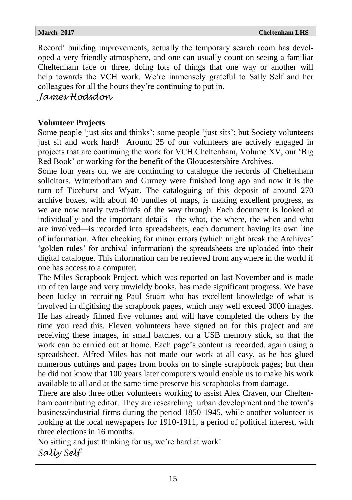Record' building improvements, actually the temporary search room has developed a very friendly atmosphere, and one can usually count on seeing a familiar Cheltenham face or three, doing lots of things that one way or another will help towards the VCH work. We're immensely grateful to Sally Self and her colleagues for all the hours they're continuing to put in.

*James Hodsdon*

## **Volunteer Projects**

Some people 'just sits and thinks'; some people 'just sits'; but Society volunteers just sit and work hard! Around 25 of our volunteers are actively engaged in projects that are continuing the work for VCH Cheltenham, Volume XV, our 'Big Red Book' or working for the benefit of the Gloucestershire Archives.

Some four years on, we are continuing to catalogue the records of Cheltenham solicitors. Winterbotham and Gurney were finished long ago and now it is the turn of Ticehurst and Wyatt. The cataloguing of this deposit of around 270 archive boxes, with about 40 bundles of maps, is making excellent progress, as we are now nearly two-thirds of the way through. Each document is looked at individually and the important details—the what, the where, the when and who are involved—is recorded into spreadsheets, each document having its own line of information. After checking for minor errors (which might break the Archives' 'golden rules' for archival information) the spreadsheets are uploaded into their digital catalogue. This information can be retrieved from anywhere in the world if one has access to a computer.

The Miles Scrapbook Project, which was reported on last November and is made up of ten large and very unwieldy books, has made significant progress. We have been lucky in recruiting Paul Stuart who has excellent knowledge of what is involved in digitising the scrapbook pages, which may well exceed 3000 images. He has already filmed five volumes and will have completed the others by the time you read this. Eleven volunteers have signed on for this project and are receiving these images, in small batches, on a USB memory stick, so that the work can be carried out at home. Each page's content is recorded, again using a spreadsheet. Alfred Miles has not made our work at all easy, as he has glued numerous cuttings and pages from books on to single scrapbook pages; but then he did not know that 100 years later computers would enable us to make his work available to all and at the same time preserve his scrapbooks from damage.

There are also three other volunteers working to assist Alex Craven, our Cheltenham contributing editor. They are researching urban development and the town's business/industrial firms during the period 1850-1945, while another volunteer is looking at the local newspapers for 1910-1911, a period of political interest, with three elections in 16 months.

No sitting and just thinking for us, we're hard at work! *Sally Self*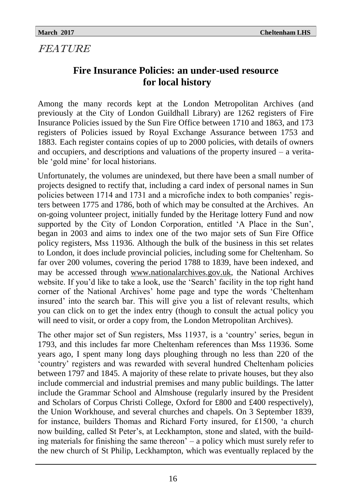# FEATURE

# **Fire Insurance Policies: an under-used resource for local history**

Among the many records kept at the London Metropolitan Archives (and previously at the City of London Guildhall Library) are 1262 registers of Fire Insurance Policies issued by the Sun Fire Office between 1710 and 1863, and 173 registers of Policies issued by Royal Exchange Assurance between 1753 and 1883. Each register contains copies of up to 2000 policies, with details of owners and occupiers, and descriptions and valuations of the property insured – a veritable 'gold mine' for local historians.

Unfortunately, the volumes are unindexed, but there have been a small number of projects designed to rectify that, including a card index of personal names in Sun policies between 1714 and 1731 and a microfiche index to both companies' registers between 1775 and 1786, both of which may be consulted at the Archives. An on-going volunteer project, initially funded by the Heritage lottery Fund and now supported by the City of London Corporation, entitled 'A Place in the Sun', began in 2003 and aims to index one of the two major sets of Sun Fire Office policy registers, Mss 11936. Although the bulk of the business in this set relates to London, it does include provincial policies, including some for Cheltenham. So far over 200 volumes, covering the period 1788 to 1839, have been indexed, and may be accessed through [www.nationalarchives.gov.uk,](http://www.nationalarchives.gov.uk) the National Archives website. If you'd like to take a look, use the 'Search' facility in the top right hand corner of the National Archives' home page and type the words 'Cheltenham insured' into the search bar. This will give you a list of relevant results, which you can click on to get the index entry (though to consult the actual policy you will need to visit, or order a copy from, the London Metropolitan Archives).

The other major set of Sun registers, Mss 11937, is a 'country' series, begun in 1793, and this includes far more Cheltenham references than Mss 11936. Some years ago, I spent many long days ploughing through no less than 220 of the 'country' registers and was rewarded with several hundred Cheltenham policies between 1797 and 1845. A majority of these relate to private houses, but they also include commercial and industrial premises and many public buildings. The latter include the Grammar School and Almshouse (regularly insured by the President and Scholars of Corpus Christi College, Oxford for £800 and £400 respectively), the Union Workhouse, and several churches and chapels. On 3 September 1839, for instance, builders Thomas and Richard Forty insured, for £1500, 'a church now building, called St Peter's, at Leckhampton, stone and slated, with the building materials for finishing the same thereon' – a policy which must surely refer to the new church of St Philip, Leckhampton, which was eventually replaced by the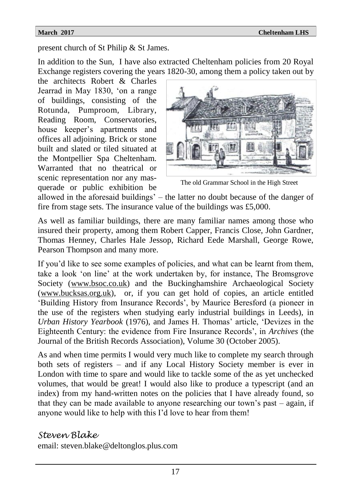present church of St Philip & St James.

In addition to the Sun, I have also extracted Cheltenham policies from 20 Royal Exchange registers covering the years 1820-30, among them a policy taken out by

the architects Robert & Charles Jearrad in May 1830, 'on a range of buildings, consisting of the Rotunda, Pumproom, Library, Reading Room, Conservatories, house keeper's apartments and offices all adjoining. Brick or stone built and slated or tiled situated at the Montpellier Spa Cheltenham. Warranted that no theatrical or scenic representation nor any masquerade or public exhibition be



The old Grammar School in the High Street

allowed in the aforesaid buildings' – the latter no doubt because of the danger of fire from stage sets. The insurance value of the buildings was £5,000.

As well as familiar buildings, there are many familiar names among those who insured their property, among them Robert Capper, Francis Close, John Gardner, Thomas Henney, Charles Hale Jessop, Richard Eede Marshall, George Rowe, Pearson Thompson and many more.

If you'd like to see some examples of policies, and what can be learnt from them, take a look 'on line' at the work undertaken by, for instance, The Bromsgrove Society ([www.bsoc.co.uk\)](http://www.bsoc.co.uk) and the Buckinghamshire Archaeological Society ([www.bucksas.org.uk\),](http://www.bucksas.org.uk) or, if you can get hold of copies, an article entitled 'Building History from Insurance Records', by Maurice Beresford (a pioneer in the use of the registers when studying early industrial buildings in Leeds), in *Urban History Yearbook* (1976), and James H. Thomas' article, 'Devizes in the Eighteenth Century: the evidence from Fire Insurance Records', in *Archives* (the Journal of the British Records Association), Volume 30 (October 2005).

As and when time permits I would very much like to complete my search through both sets of registers – and if any Local History Society member is ever in London with time to spare and would like to tackle some of the as yet unchecked volumes, that would be great! I would also like to produce a typescript (and an index) from my hand-written notes on the policies that I have already found, so that they can be made available to anyone researching our town's past – again, if anyone would like to help with this I'd love to hear from them!

## *Steven Blake*

email: steven.blake@deltonglos.plus.com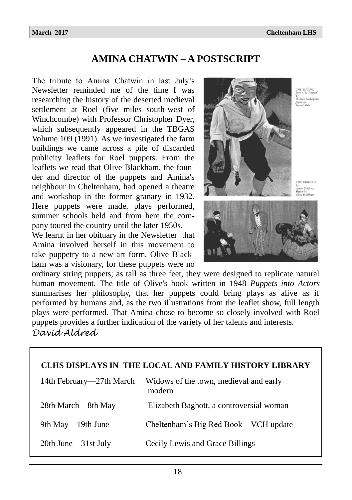## **AMINA CHATWIN – A POSTSCRIPT**

The tribute to Amina Chatwin in last July's Newsletter reminded me of the time I was researching the history of the deserted medieval settlement at Roel (five miles south-west of Winchcombe) with Professor Christopher Dyer, which subsequently appeared in the TBGAS Volume 109 (1991). As we investigated the farm buildings we came across a pile of discarded publicity leaflets for Roel puppets. From the leaflets we read that Olive Blackham, the founder and director of the puppets and Amina's neighbour in Cheltenham, had opened a theatre and workshop in the former granary in 1932. Here puppets were made, plays performed, summer schools held and from here the company toured the country until the later 1950s.

We learnt in her obituary in the Newsletter that Amina involved herself in this movement to take puppetry to a new art form. Olive Blackham was a visionary, for these puppets were no



THE PROPOSAL uo Tchchor,<br>ura hv



ordinary string puppets; as tall as three feet, they were designed to replicate natural human movement. The title of Olive's book written in 1948 *Puppets into Actors* summarises her philosophy, that her puppets could bring plays as alive as if performed by humans and, as the two illustrations from the leaflet show, full length plays were performed. That Amina chose to become so closely involved with Roel puppets provides a further indication of the variety of her talents and interests. *David Aldred*

| CLHS DISPLAYS IN THE LOCAL AND FAMILY HISTORY LIBRARY |                                                  |  |  |  |
|-------------------------------------------------------|--------------------------------------------------|--|--|--|
| 14th February—27th March                              | Widows of the town, medieval and early<br>modern |  |  |  |
| 28th March—8th May                                    | Elizabeth Baghott, a controversial woman         |  |  |  |
| 9th May—19th June                                     | Cheltenham's Big Red Book—VCH update             |  |  |  |
| 20th June—31st July                                   | Cecily Lewis and Grace Billings                  |  |  |  |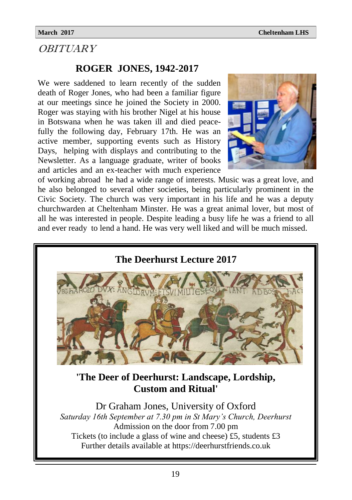## **OBITUARY**

## **ROGER JONES, 1942-2017**

We were saddened to learn recently of the sudden death of Roger Jones, who had been a familiar figure at our meetings since he joined the Society in 2000. Roger was staying with his brother Nigel at his house in Botswana when he was taken ill and died peacefully the following day, February 17th. He was an active member, supporting events such as History Days, helping with displays and contributing to the Newsletter. As a language graduate, writer of books and articles and an ex-teacher with much experience



of working abroad he had a wide range of interests. Music was a great love, and he also belonged to several other societies, being particularly prominent in the Civic Society. The church was very important in his life and he was a deputy churchwarden at Cheltenham Minster. He was a great animal lover, but most of all he was interested in people. Despite leading a busy life he was a friend to all and ever ready to lend a hand. He was very well liked and will be much missed.

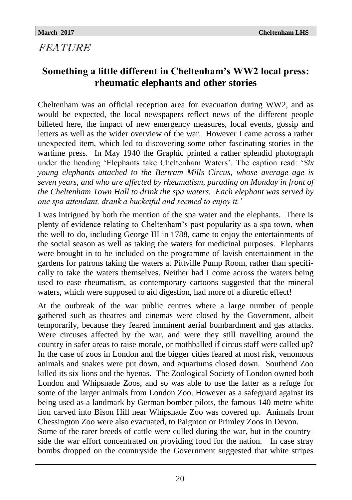# FEATURE

# **Something a little different in Cheltenham's WW2 local press: rheumatic elephants and other stories**

Cheltenham was an official reception area for evacuation during WW2, and as would be expected, the local newspapers reflect news of the different people billeted here, the impact of new emergency measures, local events, gossip and letters as well as the wider overview of the war. However I came across a rather unexpected item, which led to discovering some other fascinating stories in the wartime press. In May 1940 the Graphic printed a rather splendid photograph under the heading 'Elephants take Cheltenham Waters'. The caption read: '*Six young elephants attached to the Bertram Mills Circus, whose average age is seven years, and who are affected by rheumatism, parading on Monday in front of the Cheltenham Town Hall to drink the spa waters. Each elephant was served by one spa attendant, drank a bucketful and seemed to enjoy it.'* 

I was intrigued by both the mention of the spa water and the elephants. There is plenty of evidence relating to Cheltenham's past popularity as a spa town, when the well-to-do, including George III in 1788, came to enjoy the entertainments of the social season as well as taking the waters for medicinal purposes. Elephants were brought in to be included on the programme of lavish entertainment in the gardens for patrons taking the waters at Pittville Pump Room, rather than specifically to take the waters themselves. Neither had I come across the waters being used to ease rheumatism, as contemporary cartoons suggested that the mineral waters, which were supposed to aid digestion, had more of a diuretic effect!

At the outbreak of the war public centres where a large number of people gathered such as theatres and cinemas were closed by the Government, albeit temporarily, because they feared imminent aerial bombardment and gas attacks. Were circuses affected by the war, and were they still travelling around the country in safer areas to raise morale, or mothballed if circus staff were called up? In the case of zoos in London and the bigger cities feared at most risk, venomous animals and snakes were put down, and aquariums closed down. Southend Zoo killed its six lions and the hyenas. The Zoological Society of London owned both London and Whipsnade Zoos, and so was able to use the latter as a refuge for some of the larger animals from London Zoo. However as a safeguard against its being used as a landmark by German bomber pilots, the famous 140 metre white lion carved into Bison Hill near Whipsnade Zoo was covered up. Animals from Chessington Zoo were also evacuated, to Paignton or Primley Zoos in Devon.

Some of the rarer breeds of cattle were culled during the war, but in the countryside the war effort concentrated on providing food for the nation. In case stray bombs dropped on the countryside the Government suggested that white stripes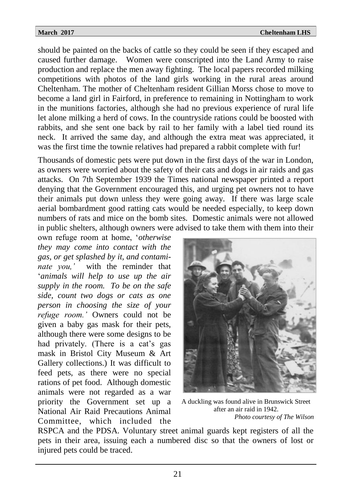should be painted on the backs of cattle so they could be seen if they escaped and caused further damage. Women were conscripted into the Land Army to raise production and replace the men away fighting. The local papers recorded milking competitions with photos of the land girls working in the rural areas around Cheltenham. The mother of Cheltenham resident Gillian Morss chose to move to become a land girl in Fairford, in preference to remaining in Nottingham to work in the munitions factories, although she had no previous experience of rural life let alone milking a herd of cows. In the countryside rations could be boosted with rabbits, and she sent one back by rail to her family with a label tied round its neck. It arrived the same day, and although the extra meat was appreciated, it was the first time the townie relatives had prepared a rabbit complete with fur!

Thousands of domestic pets were put down in the first days of the war in London, as owners were worried about the safety of their cats and dogs in air raids and gas attacks. On 7th September 1939 the Times national newspaper printed a report denying that the Government encouraged this, and urging pet owners not to have their animals put down unless they were going away. If there was large scale aerial bombardment good ratting cats would be needed especially, to keep down numbers of rats and mice on the bomb sites. Domestic animals were not allowed in public shelters, although owners were advised to take them with them into their

own refuge room at home, '*otherwise they may come into contact with the gas, or get splashed by it, and contaminate you,'* with the reminder that '*animals will help to use up the air supply in the room. To be on the safe side, count two dogs or cats as one person in choosing the size of your refuge room.'* Owners could not be given a baby gas mask for their pets, although there were some designs to be had privately. (There is a cat's gas mask in Bristol City Museum & Art Gallery collections.) It was difficult to feed pets, as there were no special rations of pet food. Although domestic animals were not regarded as a war priority the Government set up a National Air Raid Precautions Animal Committee, which included the



A duckling was found alive in Brunswick Street after an air raid in 1942. *Photo courtesy of The Wilson*

RSPCA and the PDSA. Voluntary street animal guards kept registers of all the pets in their area, issuing each a numbered disc so that the owners of lost or injured pets could be traced.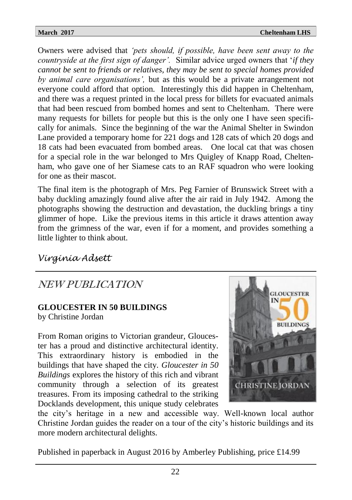Owners were advised that *'pets should, if possible, have been sent away to the countryside at the first sign of danger'.* Similar advice urged owners that '*if they cannot be sent to friends or relatives, they may be sent to special homes provided by animal care organisations',* but as this would be a private arrangement not everyone could afford that option. Interestingly this did happen in Cheltenham, and there was a request printed in the local press for billets for evacuated animals that had been rescued from bombed homes and sent to Cheltenham. There were many requests for billets for people but this is the only one I have seen specifically for animals. Since the beginning of the war the Animal Shelter in Swindon Lane provided a temporary home for 221 dogs and 128 cats of which 20 dogs and 18 cats had been evacuated from bombed areas. One local cat that was chosen for a special role in the war belonged to Mrs Quigley of Knapp Road, Cheltenham, who gave one of her Siamese cats to an RAF squadron who were looking for one as their mascot.

The final item is the photograph of Mrs. Peg Farnier of Brunswick Street with a baby duckling amazingly found alive after the air raid in July 1942. Among the photographs showing the destruction and devastation, the duckling brings a tiny glimmer of hope. Like the previous items in this article it draws attention away from the grimness of the war, even if for a moment, and provides something a little lighter to think about.

# *Virginia Adsett*

# NEW PUBLICATION

## **GLOUCESTER IN 50 BUILDINGS**

by Christine Jordan

From Roman origins to Victorian grandeur, Gloucester has a proud and distinctive architectural identity. This extraordinary history is embodied in the buildings that have shaped the city. *Gloucester in 50 Buildings* explores the history of this rich and vibrant community through a selection of its greatest treasures. From its imposing cathedral to the striking Docklands development, this unique study celebrates



the city's heritage in a new and accessible way. Well-known local author Christine Jordan guides the reader on a tour of the city's historic buildings and its more modern architectural delights.

Published in paperback in August 2016 by Amberley Publishing, price £14.99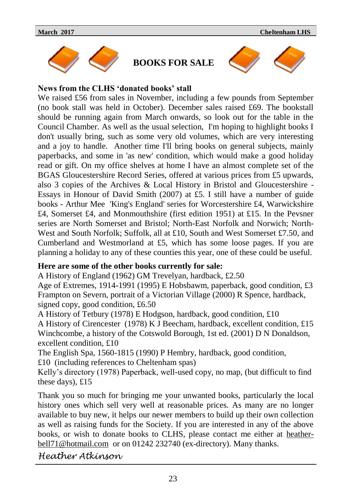

**BOOKS FOR SALE**



## **News from the CLHS 'donated books' stall**

We raised £56 from sales in November, including a few pounds from September (no book stall was held in October). December sales raised £69. The bookstall should be running again from March onwards, so look out for the table in the Council Chamber. As well as the usual selection, I'm hoping to highlight books I don't usually bring, such as some very old volumes, which are very interesting and a joy to handle. Another time I'll bring books on general subjects, mainly paperbacks, and some in 'as new' condition, which would make a good holiday read or gift. On my office shelves at home I have an almost complete set of the BGAS Gloucestershire Record Series, offered at various prices from £5 upwards, also 3 copies of the Archives & Local History in Bristol and Gloucestershire - Essays in Honour of David Smith (2007) at £5. I still have a number of guide books - Arthur Mee 'King's England' series for Worcestershire £4, Warwickshire £4, Somerset £4, and Monmouthshire (first edition 1951) at £15. In the Pevsner series are North Somerset and Bristol; North-East Norfolk and Norwich; North-West and South Norfolk: Suffolk, all at £10, South and West Somerset £7.50, and Cumberland and Westmorland at £5, which has some loose pages. If you are planning a holiday to any of these counties this year, one of these could be useful.

## **Here are some of the other books currently for sale:**

A History of England (1962) GM Trevelyan, hardback, £2.50

Age of Extremes, 1914-1991 (1995) E Hobsbawm, paperback, good condition, £3 Frampton on Severn, portrait of a Victorian Village (2000) R Spence, hardback, signed copy, good condition, £6.50

A History of Tetbury (1978) E Hodgson, hardback, good condition, £10

A History of Cirencester (1978) K J Beecham, hardback, excellent condition, £15 Winchcombe, a history of the Cotswold Borough, 1st ed. (2001) D N Donaldson, excellent condition, £10

The English Spa, 1560-1815 (1990) P Hembry, hardback, good condition, £10 (including references to Cheltenham spas)

Kelly's directory (1978) Paperback, well-used copy, no map, (but difficult to find these days), £15

Thank you so much for bringing me your unwanted books, particularly the local history ones which sell very well at reasonable prices. As many are no longer available to buy new, it helps our newer members to build up their own collection as well as raising funds for the Society. If you are interested in any of the above books, or wish to donate books to CLHS, please contact me either at [heather](mailto:heatherbell71@hotmail.com)[bell71@hotmail.com](mailto:heatherbell71@hotmail.com) or on 01242 232740 (ex-directory). Many thanks.

*Heather Atkinson*